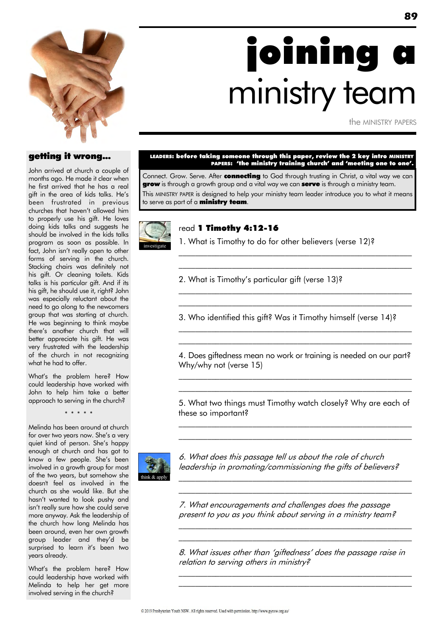

# joining a ministry team

the MINISTRY PAPERS

### getting it wrong...

John arrived at church a couple of months ago. He made it clear when he first arrived that he has a real gift in the area of kids talks. He"s been frustrated in previous churches that haven"t allowed him to properly use his gift. He loves doing kids talks and suggests he should be involved in the kids talks program as soon as possible. In fact, John isn't really open to other forms of serving in the church. Stacking chairs was definitely not his gift. Or cleaning toilets. Kids talks is his particular gift. And if its his gift, he should use it, right? John was especially reluctant about the need to go along to the newcomers group that was starting at church. He was beginning to think maybe there"s another church that will better appreciate his gift. He was very frustrated with the leadership of the church in not recognizing what he had to offer.

What"s the problem here? How could leadership have worked with John to help him take a better approach to serving in the church?

\* \* \* \* \*

Melinda has been around at church for over two years now. She's a very quiet kind of person. She"s happy enough at church and has got to know a few people. She"s been involved in a growth group for most of the two years, but somehow she doesn't feel as involved in the church as she would like. But she hasn"t wanted to look pushy and isn"t really sure how she could serve more anyway. Ask the leadership of the church how long Melinda has been around, even her own growth group leader and they"d be surprised to learn it's been two years already.

What"s the problem here? How could leadership have worked with Melinda to help her get more involved serving in the church?

#### LEADERS: before taking someone through this paper, review the 2 key intro MINISTRY PAPERS: 'the ministry training church' and 'meeting one to one'.

Connect. Grow. Serve. After connecting to God through trusting in Christ, a vital way we can **grow** is through a growth group and a vital way we can **serve** is through a ministry team. This MINISTRY PAPER is designed to help your ministry team leader introduce you to what it means to serve as part of a **ministry team**.



### read 1 Timothy 4:12-16

1. What is Timothy to do for other believers (verse 12)?

 $\mathcal{L}_\text{max}$  and the contract of the contract of the contract of the contract of the contract of the contract of \_\_\_\_\_\_\_\_\_\_\_\_\_\_\_\_\_\_\_\_\_\_\_\_\_\_\_\_\_\_\_\_\_\_\_\_\_\_\_\_\_\_\_\_\_\_\_\_\_\_\_\_\_\_\_\_\_

 $\mathcal{L}_\text{max}$  and the contract of the contract of the contract of the contract of the contract of the contract of  $\mathcal{L}_\text{max}$  and the contract of the contract of the contract of the contract of the contract of the contract of

 $\mathcal{L}_\text{max}$  and the contract of the contract of the contract of the contract of the contract of the contract of  $\mathcal{L}_\text{max}$  and the contract of the contract of the contract of the contract of the contract of the contract of

2. What is Timothy"s particular gift (verse 13)?

3. Who identified this gift? Was it Timothy himself (verse 14)?

4. Does giftedness mean no work or training is needed on our part? Why/why not (verse 15)

 $\mathcal{L}_\text{max}$  and the contract of the contract of the contract of the contract of the contract of the contract of  $\mathcal{L}_\text{max}$  and the contract of the contract of the contract of the contract of the contract of the contract of

5. What two things must Timothy watch closely? Why are each of these so important?  $\mathcal{L}_\text{max}$  and the contract of the contract of the contract of the contract of the contract of the contract of

\_\_\_\_\_\_\_\_\_\_\_\_\_\_\_\_\_\_\_\_\_\_\_\_\_\_\_\_\_\_\_\_\_\_\_\_\_\_\_\_\_\_\_\_\_\_\_\_\_\_\_\_\_\_\_\_\_

 $\mathcal{L}_\text{max}$  and the contract of the contract of the contract of the contract of the contract of the contract of  $\mathcal{L}_\text{max}$  and the contract of the contract of the contract of the contract of the contract of the contract of

 $\mathcal{L}_\text{max}$  and the contract of the contract of the contract of the contract of the contract of the contract of \_\_\_\_\_\_\_\_\_\_\_\_\_\_\_\_\_\_\_\_\_\_\_\_\_\_\_\_\_\_\_\_\_\_\_\_\_\_\_\_\_\_\_\_\_\_\_\_\_\_\_\_\_\_\_\_\_



6. What does this passage tell us about the role of church leadership in promoting/commissioning the gifts of believers?

7. What encouragements and challenges does the passage present to you as you think about serving in a ministry team?

8. What issues other than "giftedness" does the passage raise in relation to serving others in ministry? \_\_\_\_\_\_\_\_\_\_\_\_\_\_\_\_\_\_\_\_\_\_\_\_\_\_\_\_\_\_\_\_\_\_\_\_\_\_\_\_\_\_\_\_\_\_\_\_\_\_\_\_\_\_\_\_\_

 $\mathcal{L}_\text{max}$  and the contract of the contract of the contract of the contract of the contract of the contract of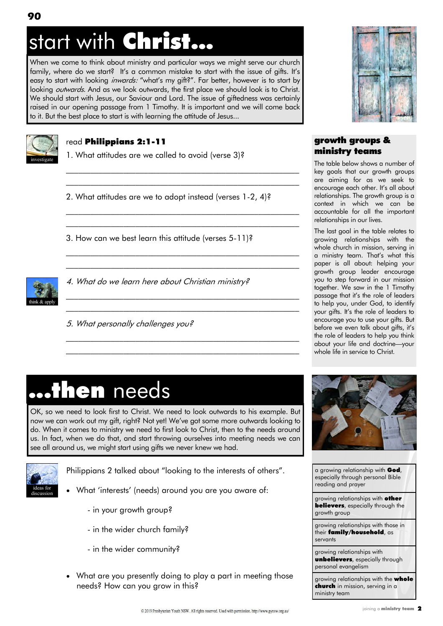## start with Christ..

When we come to think about ministry and particular ways we might serve our church family, where do we start? It's a common mistake to start with the issue of gifts. It's easy to start with looking *inwards:* "what's my gift?". Far better, however is to start by looking *outwards*. And as we look outwards, the first place we should look is to Christ. We should start with Jesus, our Saviour and Lord. The issue of giftedness was certainly raised in our opening passage from 1 Timothy. It is important and we will come back to it. But the best place to start is with learning the attitude of Jesus...



### read Philippians 2:1-11

1. What attitudes are we called to avoid (verse 3)?

2. What attitudes are we to adopt instead (verses 1-2, 4)?

 $\mathcal{L}_\text{max}$  and the contract of the contract of the contract of the contract of the contract of the contract of  $\mathcal{L}_\text{max}$  and the contract of the contract of the contract of the contract of the contract of the contract of

 $\mathcal{L}_\text{max}$  and the contract of the contract of the contract of the contract of the contract of the contract of \_\_\_\_\_\_\_\_\_\_\_\_\_\_\_\_\_\_\_\_\_\_\_\_\_\_\_\_\_\_\_\_\_\_\_\_\_\_\_\_\_\_\_\_\_\_\_\_\_\_\_\_\_\_\_\_\_

\_\_\_\_\_\_\_\_\_\_\_\_\_\_\_\_\_\_\_\_\_\_\_\_\_\_\_\_\_\_\_\_\_\_\_\_\_\_\_\_\_\_\_\_\_\_\_\_\_\_\_\_\_\_\_\_\_ \_\_\_\_\_\_\_\_\_\_\_\_\_\_\_\_\_\_\_\_\_\_\_\_\_\_\_\_\_\_\_\_\_\_\_\_\_\_\_\_\_\_\_\_\_\_\_\_\_\_\_\_\_\_\_\_\_

\_\_\_\_\_\_\_\_\_\_\_\_\_\_\_\_\_\_\_\_\_\_\_\_\_\_\_\_\_\_\_\_\_\_\_\_\_\_\_\_\_\_\_\_\_\_\_\_\_\_\_\_\_\_\_\_\_ \_\_\_\_\_\_\_\_\_\_\_\_\_\_\_\_\_\_\_\_\_\_\_\_\_\_\_\_\_\_\_\_\_\_\_\_\_\_\_\_\_\_\_\_\_\_\_\_\_\_\_\_\_\_\_\_\_

\_\_\_\_\_\_\_\_\_\_\_\_\_\_\_\_\_\_\_\_\_\_\_\_\_\_\_\_\_\_\_\_\_\_\_\_\_\_\_\_\_\_\_\_\_\_\_\_\_\_\_\_\_\_\_\_\_ \_\_\_\_\_\_\_\_\_\_\_\_\_\_\_\_\_\_\_\_\_\_\_\_\_\_\_\_\_\_\_\_\_\_\_\_\_\_\_\_\_\_\_\_\_\_\_\_\_\_\_\_\_\_\_\_\_

3. How can we best learn this attitude (verses 5-11)?



4. What do we learn here about Christian ministry?

5. What personally challenges you?



### growth groups & ministry teams

The table below shows a number of key goals that our growth groups are aiming for as we seek to encourage each other. It's all about relationships. The growth group is a context in which we can be accountable for all the important relationships in our lives.

The last goal in the table relates to growing relationships with the whole church in mission, serving in a ministry team. That"s what this paper is all about: helping your growth group leader encourage you to step forward in our mission together. We saw in the 1 Timothy passage that it"s the role of leaders to help you, under God, to identify your gifts. It's the role of leaders to encourage you to use your gifts. But before we even talk about gifts, it's the role of leaders to help you think about your life and doctrine—your whole life in service to Christ.

### ...then needs

OK, so we need to look first to Christ. We need to look outwards to his example. But now we can work out my gift, right? Not yet! We"ve got some more outwards looking to do. When it comes to ministry we need to first look to Christ, then to the needs around us. In fact, when we do that, and start throwing ourselves into meeting needs we can see all around us, we might start using gifts we never knew we had.



Philippians 2 talked about "looking to the interests of others".

- What 'interests' (needs) around you are you aware of:
	- in your growth group?
	- in the wider church family?
	- in the wider community?
- What are you presently doing to play a part in meeting those needs? How can you grow in this?



a growing relationship with God, especially through personal Bible reading and prayer

growing relationships with other **believers**, especially through the growth group

growing relationships with those in their family/household, as servants

growing relationships with unbelievers, especially through personal evangelism

growing relationships with the **whole** church in mission, serving in a ministry team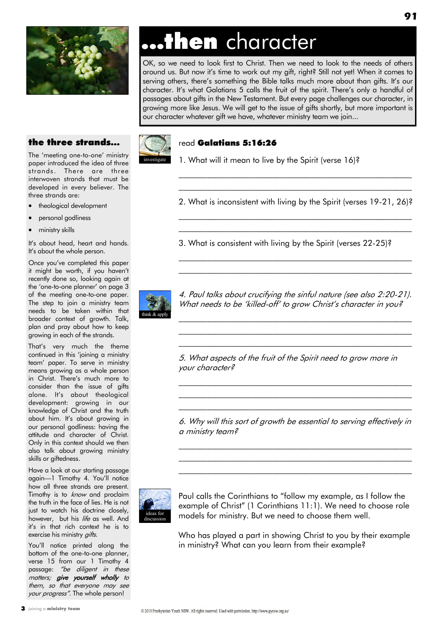

### ...then character

OK, so we need to look first to Christ. Then we need to look to the needs of others around us. But now it"s time to work out my gift, right? Still not yet! When it comes to serving others, there's something the Bible talks much more about than gifts. It's our character. It's what Galatians 5 calls the fruit of the spirit. There's only a handful of passages about gifts in the New Testament. But every page challenges our character, in growing more like Jesus. We will get to the issue of gifts shortly, but more important is our character whatever gift we have, whatever ministry team we join...

### the three strands...

The 'meeting one-to-one' ministry paper introduced the idea of three strands. There are three interwoven strands that must be developed in every believer. The three strands are:

- theological development
- personal godliness
- ministry skills

It's about head, heart and hands. It's about the whole person.

Once you"ve completed this paper it might be worth, if you haven't recently done so, looking again at the 'one-to-one planner' on page 3 of the meeting one-to-one paper. The step to join a ministry team needs to be taken within that broader context of growth. Talk, plan and pray about how to keep growing in each of the strands.

That"s very much the theme continued in this "joining a ministry team" paper. To serve in ministry means growing as a whole person in Christ. There's much more to consider than the issue of gifts alone. It"s about theological development: growing in our knowledge of Christ and the truth about him. It's about growing in our personal godliness: having the attitude and character of Christ. Only in this context should we then also talk about growing ministry skills or giftedness.

Have a look at our starting passage again—1 Timothy 4. You"ll notice how all three strands are present. Timothy is to *know* and proclaim the truth in the face of lies. He is not just to watch his doctrine closely, however, but his life as well. And it's in that rich context he is to exercise his ministry *gifts*.

You'll notice printed along the bottom of the one-to-one planner, verse 15 from our 1 Timothy 4 passage: "be diligent in these matters; give yourself wholly to them, so that everyone may see your progress". The whole person!



### read Galatians 5:16:26

1. What will it mean to live by the Spirit (verse 16)?

2. What is inconsistent with living by the Spirit (verses 19-21, 26)? \_\_\_\_\_\_\_\_\_\_\_\_\_\_\_\_\_\_\_\_\_\_\_\_\_\_\_\_\_\_\_\_\_\_\_\_\_\_\_\_\_\_\_\_\_\_\_\_\_\_\_\_\_\_\_\_\_

\_\_\_\_\_\_\_\_\_\_\_\_\_\_\_\_\_\_\_\_\_\_\_\_\_\_\_\_\_\_\_\_\_\_\_\_\_\_\_\_\_\_\_\_\_\_\_\_\_\_\_\_\_\_\_\_\_

 $\mathcal{L}_\text{max}$  and the contract of the contract of the contract of the contract of the contract of the contract of  $\mathcal{L}_\text{max}$  and the contract of the contract of the contract of the contract of the contract of the contract of

\_\_\_\_\_\_\_\_\_\_\_\_\_\_\_\_\_\_\_\_\_\_\_\_\_\_\_\_\_\_\_\_\_\_\_\_\_\_\_\_\_\_\_\_\_\_\_\_\_\_\_\_\_\_\_\_\_ \_\_\_\_\_\_\_\_\_\_\_\_\_\_\_\_\_\_\_\_\_\_\_\_\_\_\_\_\_\_\_\_\_\_\_\_\_\_\_\_\_\_\_\_\_\_\_\_\_\_\_\_\_\_\_\_\_

3. What is consistent with living by the Spirit (verses 22-25)?



4. Paul talks about crucifying the sinful nature (see also 2:20-21). What needs to be 'killed-off' to grow Christ's character in you?

 $\mathcal{L}_\text{max}$  and the contract of the contract of the contract of the contract of the contract of the contract of  $\mathcal{L}_\text{max}$  and the contract of the contract of the contract of the contract of the contract of the contract of  $\mathcal{L}_\text{max}$  and the contract of the contract of the contract of the contract of the contract of the contract of

5. What aspects of the fruit of the Spirit need to grow more in your character?

6. Why will this sort of growth be essential to serving effectively in a ministry team?

 $\mathcal{L}_\text{max}$  and the contract of the contract of the contract of the contract of the contract of the contract of  $\mathcal{L}_\text{max}$  and the contract of the contract of the contract of the contract of the contract of the contract of  $\mathcal{L}_\text{max}$  and the contract of the contract of the contract of the contract of the contract of the contract of

 $\mathcal{L}_\text{max}$  and the contract of the contract of the contract of the contract of the contract of the contract of  $\mathcal{L}_\text{max}$  and the contract of the contract of the contract of the contract of the contract of the contract of  $\mathcal{L}_\text{max}$  and the contract of the contract of the contract of the contract of the contract of the contract of



Paul calls the Corinthians to "follow my example, as I follow the example of Christ" (1 Corinthians 11:1). We need to choose role models for ministry. But we need to choose them well.

Who has played a part in showing Christ to you by their example in ministry? What can you learn from their example?